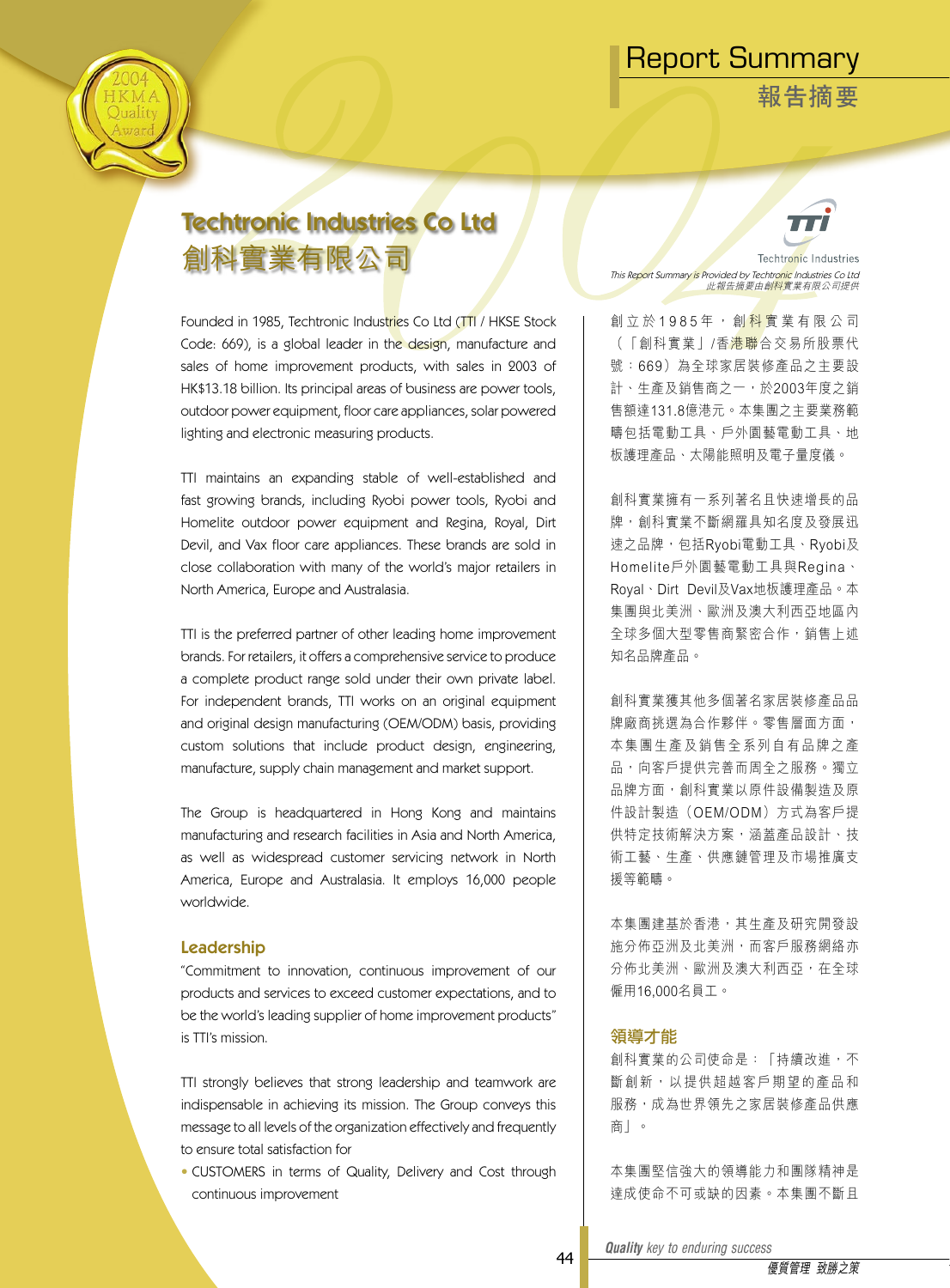**報告摘要**



# Techtronic Industries Co Ltd 創科實業有限公司

Founded in 1985, Techtronic Industries Co Ltd (TTI / HKSE Stock Code: 669), is a global leader in the design, manufacture and sales of home improvement products, with sales in 2003 of HK\$13.18 billion. Its principal areas of business are power tools, outdoor power equipment, floor care appliances, solar powered lighting and electronic measuring products.

TTI maintains an expanding stable of well-established and fast growing brands, including Ryobi power tools, Ryobi and Homelite outdoor power equipment and Regina, Royal, Dirt Devil, and Vax floor care appliances. These brands are sold in close collaboration with many of the world's major retailers in North America, Europe and Australasia.

TTI is the preferred partner of other leading home improvement brands. For retailers, it offers a comprehensive service to produce a complete product range sold under their own private label. For independent brands, TTI works on an original equipment and original design manufacturing (OEM/ODM) basis, providing custom solutions that include product design, engineering, manufacture, supply chain management and market support.

The Group is headquartered in Hong Kong and maintains manufacturing and research facilities in Asia and North America, as well as widespread customer servicing network in North America, Europe and Australasia. It employs 16,000 people worldwide.

### Leadership

"Commitment to innovation, continuous improvement of our products and services to exceed customer expectations, and to be the world's leading supplier of home improvement products" is TTI's mission.

TTI strongly believes that strong leadership and teamwork are indispensable in achieving its mission. The Group conveys this message to all levels of the organization effectively and frequently to ensure total satisfaction for

• CUSTOMERS in terms of Quality, Delivery and Cost through continuous improvement



**Techtronic Industries** This Re<mark>po</mark>rt Summary is Provided by Techtro<mark>nic</mark> Industries Co Ltd<br>此報告摘要由創<mark>科</mark>實業有限公司提供

創 立 於 1 9 8 5 年 , 創 <mark>科 實</mark> 業 有 限 公 司 (「創科實業」/香港聯合交易所股票代 號:669)為全球家居裝修產品之主要設 計、生產及銷售商之一,於2003年度之銷 售額達131.8億港元。本集團之主要業務範 疇包括電動工具、戶外園藝電動工具、地 板護理產品、太陽能照明及電子量度儀。

創科實業擁有一系列著名且快速增長的品 牌,創科實業不斷網羅具知名度及發展迅 速之品牌,包括Ryobi電動工具、Ryobi及 Homelite戶外園藝電動工具與Regina、 Royal、Dirt Devil及Vax地板護理產品。本 集團與北美洲、歐洲及澳大利西亞地區內 全球多個大型零售商緊密合作,銷售上述 知名品牌產品。

創科實業獲其他多個著名家居裝修產品品 牌廠商挑選為合作夥伴。零售層面方面, 本集團生產及銷售全系列自有品牌之產 品,向客戶提供完善而周全之服務。獨立 品牌方面,創科實業以原件設備製造及原 件設計製造(OEM/ODM)方式為客戶提 供特定技術解決方案,涵蓋產品設計、技 術工藝、生產、供應鏈管理及市場推廣支 援等範疇。

本集團建基於香港,其生產及研究開發設 施分佈亞洲及北美洲,而客戶服務網絡亦 分佈北美洲、歐洲及澳大利西亞,在全球 僱用16,000名員工。

### 領導才能

創科實業的公司使命是:「持續改進,不 斷創新, 以提供超越客戶期望的產品和 服務,成為世界領先之家居裝修產品供應 商」。

本集團堅信強大的領導能力和團隊精神是 達成使命不可或缺的因素。本集團不斷且

44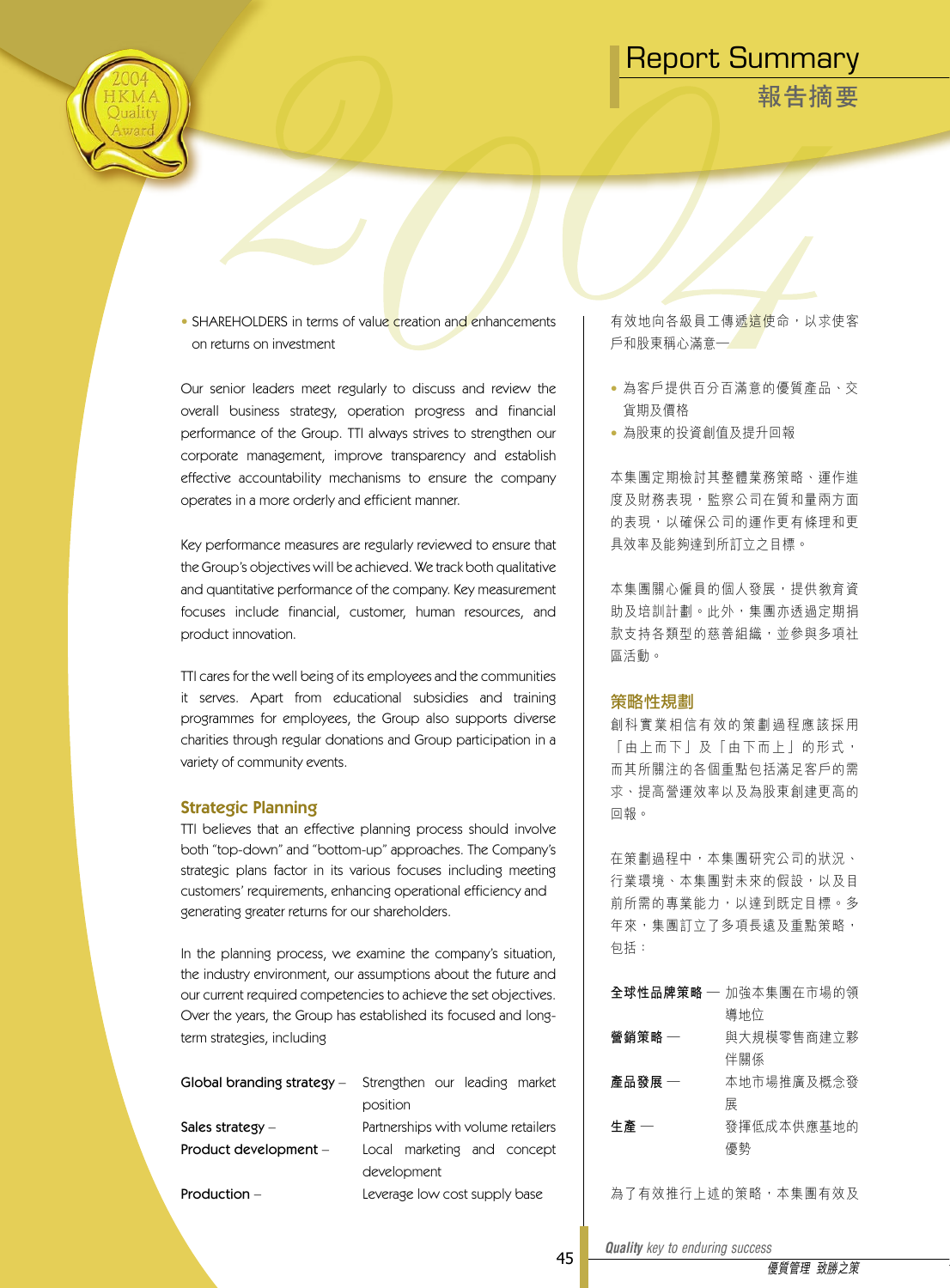**報告摘要**



• SHAREHOLDERS in terms of value creation and enhancements on returns on investment

Our senior leaders meet regularly to discuss and review the overall business strategy, operation progress and financial performance of the Group. TTI always strives to strengthen our corporate management, improve transparency and establish effective accountability mechanisms to ensure the company operates in a more orderly and efficient manner.

Key performance measures are regularly reviewed to ensure that the Group's objectives will be achieved. We track both qualitative and quantitative performance of the company. Key measurement focuses include financial, customer, human resources, and product innovation.

TTI cares for the well being of its employees and the communities it serves. Apart from educational subsidies and training programmes for employees, the Group also supports diverse charities through regular donations and Group participation in a variety of community events.

### Strategic Planning

TTI believes that an effective planning process should involve both "top-down" and "bottom-up" approaches. The Company's strategic plans factor in its various focuses including meeting customers' requirements, enhancing operational efficiency and generating greater returns for our shareholders.

In the planning process, we examine the company's situation, the industry environment, our assumptions about the future and our current required competencies to achieve the set objectives. Over the years, the Group has established its focused and longterm strategies, including

|                       | Global branding strategy – Strengthen our leading market |
|-----------------------|----------------------------------------------------------|
|                       | position                                                 |
| Sales strategy $-$    | Partnerships with volume retailers                       |
| Product development - | Local marketing and concept                              |
|                       | development                                              |
| Production $-$        | Leverage low cost supply base                            |

有效地向各級員工傳遞<mark>這使命,以求使客</mark> 戶和股東稱心滿意—

- 為客戶提供百分百滿意的優質產品、交 貨期及價格
- 為股東的投資創值及提升回報

本集團定期檢討其整體業務策略、運作進 度及財務表現,監察公司在質和量兩方面 的表現,以確保公司的運作更有條理和更 具效率及能夠達到所訂立之目標。

本集團關心僱員的個人發展,提供教育資 助及培訓計劃。此外,集團亦透過定期捐 款支持各類型的慈善組織,並參與多項社 區活動。

### 策略性規劃

創科實業相信有效的策劃過程應該採用 「 由 上 而 下 | 及 「 由 下 而 上 | 的 形 式 , 而其所關注的各個重點包括滿足客戶的需 求、提高營運效率以及為股東創建更高的 回報。

在策劃過程中,本集團研究公司的狀況、 行業環境、本集團對未來的假設,以及目 前所需的專業能力,以達到既定目標。多 年來,集團訂立了多項長遠及重點策略, 包括:

|        | 全球性品牌策略 — 加強本集團在市場的領 |
|--------|----------------------|
|        | 導地位                  |
| 營銷策略 — | 與大規模零售商建立夥           |
|        | 伴關係                  |
| 產品發展 — | 本地市場推廣及概念發           |
|        | 展                    |
| 生產 一   | 發揮低成本供應基地的           |
|        | 優勢                   |

為了有效推行上述的策略,本集團有效及

45

*Quality key to enduring success Quality key to enduring success*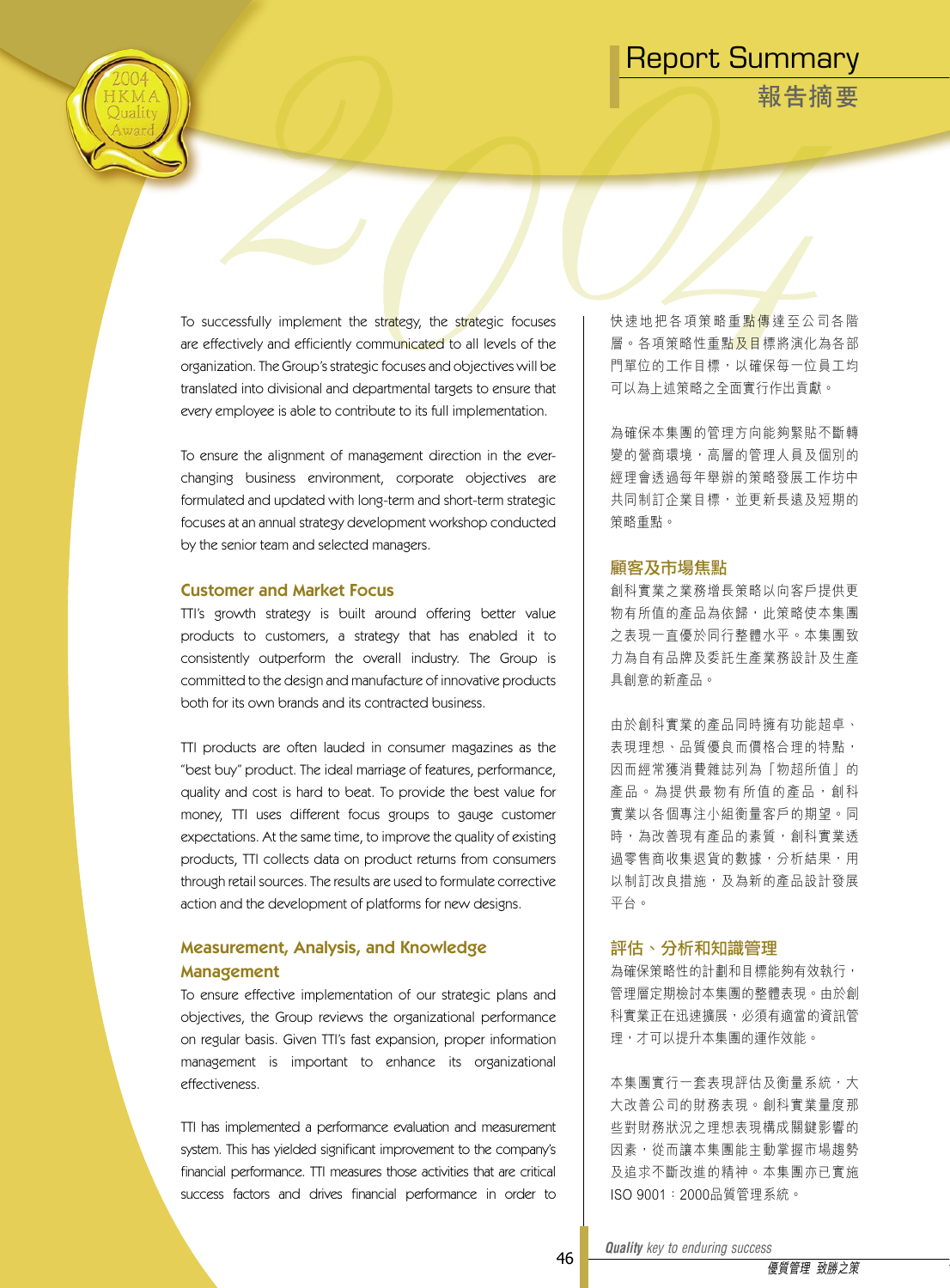**報告摘要**

To successfully implement the strategy, the strategic focuses are effectively and efficiently communicated to all levels of the organization. The Group's strategic focuses and objectives will be translated into divisional and departmental targets to ensure that every employee is able to contribute to its full implementation.

To ensure the alignment of management direction in the everchanging business environment, corporate objectives are formulated and updated with long-term and short-term strategic focuses at an annual strategy development workshop conducted by the senior team and selected managers.

### Customer and Market Focus

TTI's growth strategy is built around offering better value products to customers, a strategy that has enabled it to consistently outperform the overall industry. The Group is committed to the design and manufacture of innovative products both for its own brands and its contracted business.

TTI products are often lauded in consumer magazines as the "best buy" product. The ideal marriage of features, performance, quality and cost is hard to beat. To provide the best value for money, TTI uses different focus groups to gauge customer expectations. At the same time, to improve the quality of existing products, TTI collects data on product returns from consumers through retail sources. The results are used to formulate corrective action and the development of platforms for new designs.

### Measurement, Analysis, and Knowledge Management

To ensure effective implementation of our strategic plans and objectives, the Group reviews the organizational performance on regular basis. Given TTI's fast expansion, proper information management is important to enhance its organizational effectiveness.

TTI has implemented a performance evaluation and measurement system. This has yielded significant improvement to the company's financial performance. TTI measures those activities that are critical success factors and drives financial performance in order to

快 速 地 把 各 項 策 略 重 點 傳 達 至 公 司 各 階 層。各項策略性重點及目標將演化為各部 門單位的工作目標,以確保每一位員工均 可以為上述策略之全面實行作出貢獻。

為確保本集團的管理方向能夠緊貼不斷轉 變的營商環境,高層的管理人員及個別的 經理會透過每年舉辦的策略發展工作坊中 共同制訂企業目標,並更新長遠及短期的 策略重點。

### 顧客及市場焦點

創科實業之業務增長策略以向客戶提供更 物有所值的產品為依歸,此策略使本集團 之表現一直優於同行整體水平。本集團致 力為自有品牌及委託生產業務設計及生產 具創意的新產品。

由於創科實業的產品同時擁有功能超卓、 表現理想、品質優良而價格合理的特點, 因而經常獲消費雜誌列為「物超所值」的 產品。為提供最物有所值的產品,創科 實業以各個專注小組衡量客戶的期望。同 時,為改善現有產品的素質,創科實業透 過零售商收集退貨的數據,分析結果,用 以制訂改良措施,及為新的產品設計發展 平台。

### 評估、分析和知識管理

為確保策略性的計劃和目標能夠有效執行, 管理層定期檢討本集團的整體表現。由於創 科實業正在迅速擴展,必須有適當的資訊管 理,才可以提升本集團的運作效能。

本集團實行一套表現評估及衡量系統,大 大改善公司的財務表現。創科實業量度那 些對財務狀況之理想表現構成關鍵影響的 因素,從而讓本集團能主動掌握市場趨勢 及追求不斷改進的精神。本集團亦已實施 ISO 9001:2000品質管理系統。

*Quality key to enduring success Quality key to enduring success*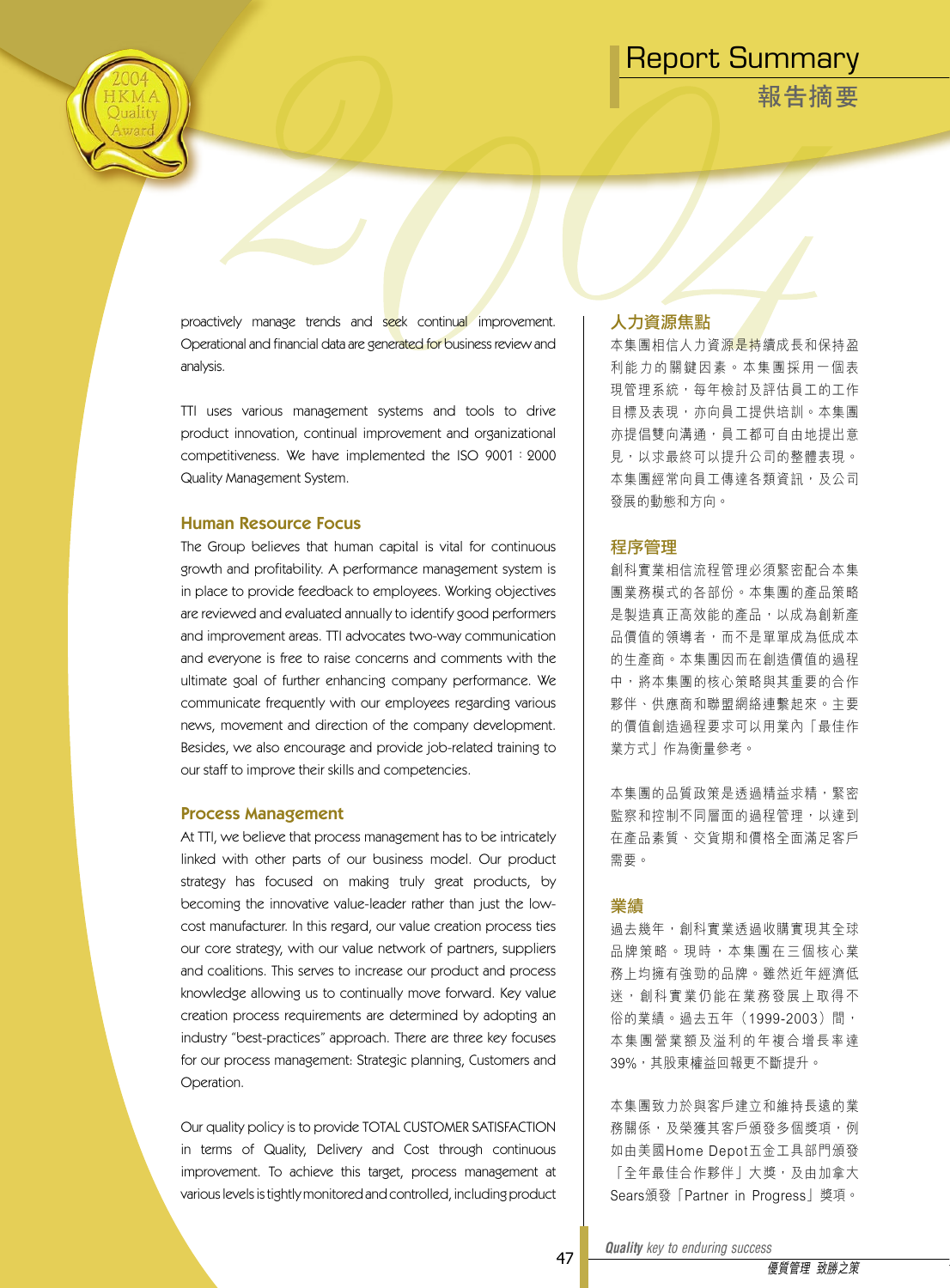**報告摘要**

proactively manage trends and seek continual improvement. Operational and financial data are generated for business review and analysis.

TTI uses various management systems and tools to drive product innovation, continual improvement and organizational competitiveness. We have implemented the ISO 9001:2000 Quality Management System.

### Human Resource Focus

The Group believes that human capital is vital for continuous growth and profitability. A performance management system is in place to provide feedback to employees. Working objectives are reviewed and evaluated annually to identify good performers and improvement areas. TTI advocates two-way communication and everyone is free to raise concerns and comments with the ultimate goal of further enhancing company performance. We communicate frequently with our employees regarding various news, movement and direction of the company development. Besides, we also encourage and provide job-related training to our staff to improve their skills and competencies.

### Process Management

At TTI, we believe that process management has to be intricately linked with other parts of our business model. Our product strategy has focused on making truly great products, by becoming the innovative value-leader rather than just the lowcost manufacturer. In this regard, our value creation process ties our core strategy, with our value network of partners, suppliers and coalitions. This serves to increase our product and process knowledge allowing us to continually move forward. Key value creation process requirements are determined by adopting an industry "best-practices" approach. There are three key focuses for our process management: Strategic planning, Customers and Operation.

Our quality policy is to provide TOTAL CUSTOMER SATISFACTION in terms of Quality, Delivery and Cost through continuous improvement. To achieve this target, process management at various levels is tightly monitored and controlled, including product

### 人力資源焦點

本集團相信人力資源是持續成長和保持盈 利能力的關鍵因素。本集團採用一個表 現管理系統,每年檢討及評估員工的工作 目標及表現,亦向員工提供培訓。本集團 亦提倡雙向溝通,員工都可自由地提出意 見,以求最終可以提升公司的整體表現。 本集團經常向員工傳達各類資訊,及公司 發展的動態和方向。

### 程序管理

創科實業相信流程管理必須緊密配合本集 團業務模式的各部份。本集團的產品策略 是製造真正高效能的產品,以成為創新產 品價值的領導者,而不是單單成為低成本 的生產商。本集團因而在創造價值的過程 中,將本集團的核心策略與其重要的合作 夥伴、供應商和聯盟網絡連繫起來。主要 的價值創造過程要求可以用業內「最佳作 業方式」作為衡量參考。

本集團的品質政策是透過精益求精,緊密 監察和控制不同層面的過程管理,以達到 在產品素質、交貨期和價格全面滿足客戶 需要。

### 業績

過去幾年,創科實業透過收購實現其全球 品牌策略。現時,本集團在三個核心業 務上均擁有強勁的品牌。雖然近年經濟低 迷, 創科實業仍能在業務發展上取得不 俗的業績。過去五年(1999-2003)間, 本集團營業額及溢利的年複合增長率達 39%,其股東權益回報更不斷提升。

本集團致力於與客戶建立和維持長遠的業 務關係,及榮獲其客戶頒發多個獎項,例 如由美國Home Depot五金工具部門頒發 「全年最佳合作夥伴」大獎,及由加拿大 Sears頒發「Partner in Progress」獎項。

*Quality key to enduring success Quality key to enduring success*